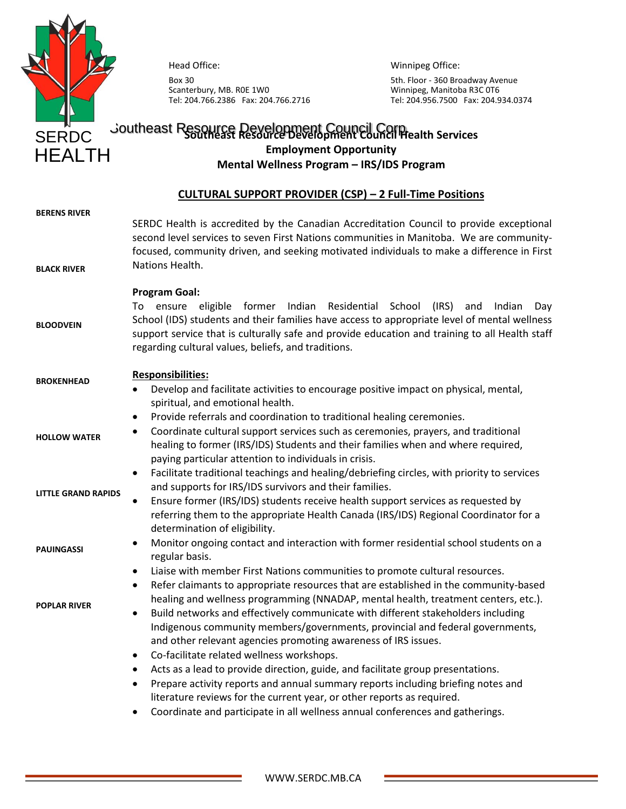

Head Office:

Box 30 Scanterbury, MB. R0E 1W0 Tel: 204.766.2386 Fax: 204.766.2716 Winnipeg Office:

5th. Floor - 360 Broadway Avenue Winnipeg, Manitoba R3C 0T6 Tel: 204.956.7500 Fax: 204.934.0374

# **SERDC** Joutheast Resource Development Council Corp. SERDC **Employment Opportunity Mental Wellness Program – IRS/IDS Program**

## **CULTURAL SUPPORT PROVIDER (CSP) – 2 Full-Time Positions**

| <b>BERENS RIVER</b><br><b>BLACK RIVER</b> | SERDC Health is accredited by the Canadian Accreditation Council to provide exceptional<br>second level services to seven First Nations communities in Manitoba. We are community-<br>focused, community driven, and seeking motivated individuals to make a difference in First<br>Nations Health.                                                                                                                                                                                                                                                                                               |
|-------------------------------------------|---------------------------------------------------------------------------------------------------------------------------------------------------------------------------------------------------------------------------------------------------------------------------------------------------------------------------------------------------------------------------------------------------------------------------------------------------------------------------------------------------------------------------------------------------------------------------------------------------|
| <b>BLOODVEIN</b>                          | <b>Program Goal:</b><br>Residential<br>eligible<br>former<br>Indian<br>School<br>(IRS)<br>To ensure<br>and<br>Indian<br>Day<br>School (IDS) students and their families have access to appropriate level of mental wellness<br>support service that is culturally safe and provide education and training to all Health staff<br>regarding cultural values, beliefs, and traditions.                                                                                                                                                                                                              |
| <b>BROKENHEAD</b>                         | <b>Responsibilities:</b><br>Develop and facilitate activities to encourage positive impact on physical, mental,<br>$\bullet$<br>spiritual, and emotional health.                                                                                                                                                                                                                                                                                                                                                                                                                                  |
| <b>HOLLOW WATER</b>                       | Provide referrals and coordination to traditional healing ceremonies.<br>$\bullet$<br>Coordinate cultural support services such as ceremonies, prayers, and traditional<br>$\bullet$<br>healing to former (IRS/IDS) Students and their families when and where required,<br>paying particular attention to individuals in crisis.                                                                                                                                                                                                                                                                 |
| <b>LITTLE GRAND RAPIDS</b>                | Facilitate traditional teachings and healing/debriefing circles, with priority to services<br>$\bullet$<br>and supports for IRS/IDS survivors and their families.<br>Ensure former (IRS/IDS) students receive health support services as requested by<br>$\bullet$<br>referring them to the appropriate Health Canada (IRS/IDS) Regional Coordinator for a<br>determination of eligibility.                                                                                                                                                                                                       |
| <b>PAUINGASSI</b>                         | Monitor ongoing contact and interaction with former residential school students on a<br>٠<br>regular basis.                                                                                                                                                                                                                                                                                                                                                                                                                                                                                       |
| <b>POPLAR RIVER</b>                       | Liaise with member First Nations communities to promote cultural resources.<br>$\bullet$<br>Refer claimants to appropriate resources that are established in the community-based<br>$\bullet$<br>healing and wellness programming (NNADAP, mental health, treatment centers, etc.).<br>Build networks and effectively communicate with different stakeholders including<br>$\bullet$<br>Indigenous community members/governments, provincial and federal governments,<br>and other relevant agencies promoting awareness of IRS issues.<br>Co-facilitate related wellness workshops.<br>$\bullet$ |
|                                           | Acts as a lead to provide direction, guide, and facilitate group presentations.<br>٠<br>Prepare activity reports and annual summary reports including briefing notes and<br>$\bullet$<br>literature reviews for the current year, or other reports as required.<br>Coordinate and participate in all wellness annual conferences and gatherings.<br>٠                                                                                                                                                                                                                                             |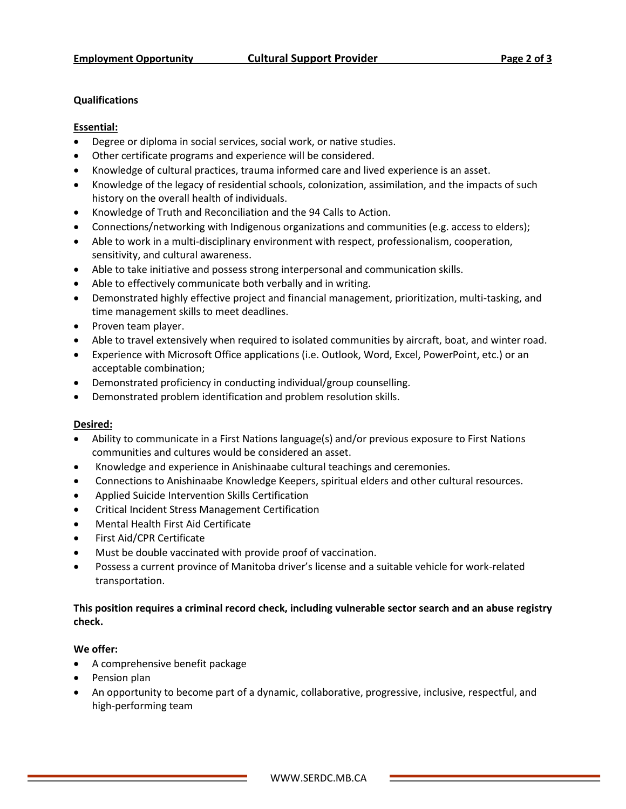#### **Qualifications**

#### **Essential:**

- Degree or diploma in social services, social work, or native studies.
- Other certificate programs and experience will be considered.
- Knowledge of cultural practices, trauma informed care and lived experience is an asset.
- Knowledge of the legacy of residential schools, colonization, assimilation, and the impacts of such history on the overall health of individuals.
- Knowledge of Truth and Reconciliation and the 94 Calls to Action.
- Connections/networking with Indigenous organizations and communities (e.g. access to elders);
- Able to work in a multi-disciplinary environment with respect, professionalism, cooperation, sensitivity, and cultural awareness.
- Able to take initiative and possess strong interpersonal and communication skills.
- Able to effectively communicate both verbally and in writing.
- Demonstrated highly effective project and financial management, prioritization, multi-tasking, and time management skills to meet deadlines.
- Proven team player.
- Able to travel extensively when required to isolated communities by aircraft, boat, and winter road.
- Experience with Microsoft Office applications (i.e. Outlook, Word, Excel, PowerPoint, etc.) or an acceptable combination;
- Demonstrated proficiency in conducting individual/group counselling.
- Demonstrated problem identification and problem resolution skills.

#### **Desired:**

- Ability to communicate in a First Nations language(s) and/or previous exposure to First Nations communities and cultures would be considered an asset.
- Knowledge and experience in Anishinaabe cultural teachings and ceremonies.
- Connections to Anishinaabe Knowledge Keepers, spiritual elders and other cultural resources.
- Applied Suicide Intervention Skills Certification
- Critical Incident Stress Management Certification
- Mental Health First Aid Certificate
- First Aid/CPR Certificate
- Must be double vaccinated with provide proof of vaccination.
- Possess a current province of Manitoba driver's license and a suitable vehicle for work-related transportation.

### **This position requires a criminal record check, including vulnerable sector search and an abuse registry check.**

#### **We offer:**

- A comprehensive benefit package
- Pension plan
- An opportunity to become part of a dynamic, collaborative, progressive, inclusive, respectful, and high-performing team